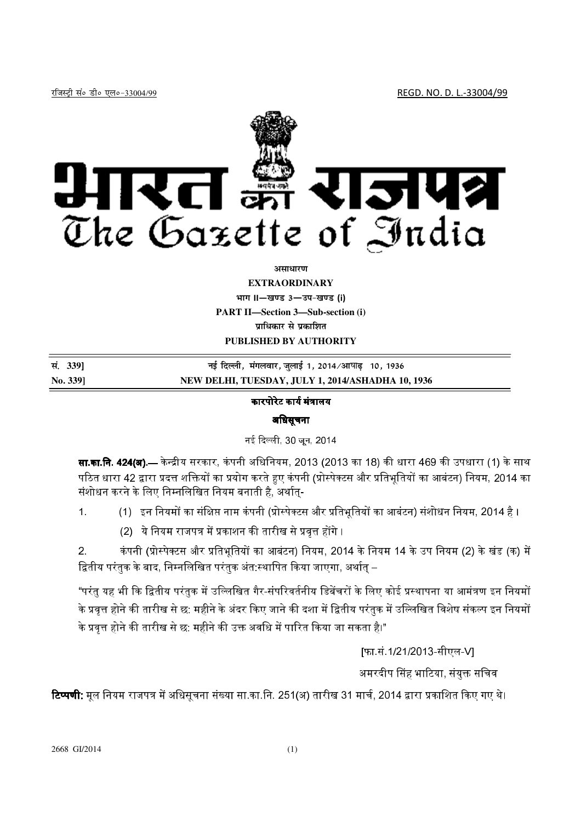

असाधारण

## **EXTRAORDINARY**

भाग II-खण्ड 3-उप-खण्ड (i) **PART II-Section 3-Sub-section (i)** प्राधिकार से प्रकाशित PUBLISHED BY AUTHORITY

सं. 339] नई दिल्ली, मंगलवार, जुलाई 1, 2014/आषाढ़ 10, 1936 No. 3391 NEW DELHI, TUESDAY, JULY 1, 2014/ASHADHA 10, 1936

## कारपोरेट कार्य मंत्रालय

## अधिसूचना

नई दिल्ली, 30 जून, 2014

**सा.का.नि. 424(अ**) — केन्द्रीय सरकार, कंपनी अधिनियम, 2013 (2013 का 18) की धारा 469 की उपधारा (1) के साथ पठित धारा 42 द्वारा प्रदत्त शक्तियों का प्रयोग करते हुए कंपनी (प्रोस्पेक्टस और प्रतिभूतियों का आबंटन) नियम, 2014 का संशोधन करने के लिए निम्नलिखित नियम बनाती है, अर्थात्-

- (1) इन नियमों का संक्षिप्त नाम कंपनी (प्रोस्पेक्टस और प्रतिभूतियों का आबंटन) संशोधन नियम, 2014 है ।  $\overline{1}$ 
	- (2) ये नियम राजपत्र में प्रकाशन की तारीख से प्रवृत्त होंगे ।

कंपनी (प्रोस्पेक्टस और प्रतिभूतियों का आबंटन) नियम, 2014 के नियम 14 के उप नियम (2) के खंड (क) में  $2<sup>1</sup>$ द्वितीय परंतुक के बाद, निम्नलिखित परंतुक अंत:स्थापित किया जाएगा, अर्थात् –

"परंतु यह भी कि द्वितीय परंतुक में उल्लिखित गैर-संपरिवर्तनीय डिबेंचरों के लिए कोई प्रस्थापना या आमंत्रण इन नियमों के प्रवृत्त होने की तारीख से छ: महीने के अंदर किए जाने की दशा में द्वितीय परंतुक में उल्लिखित विशेष संकल्प इन नियमों के प्रवत्त होने की तारीख से छ: महीने की उक्त अवधि में पारित किया जा सकता है।"

[फा.सं.1/21/2013-सीएल-V]

अमरदीप सिंह भाटिया, संयुक्त सचिव

रिप्पणी: मूल नियम राजपत्र में अधिसूचना संख्या सा.का.नि. 251(अ) तारीख 31 मार्च, 2014 द्वारा प्रकाशित किए गए थे।